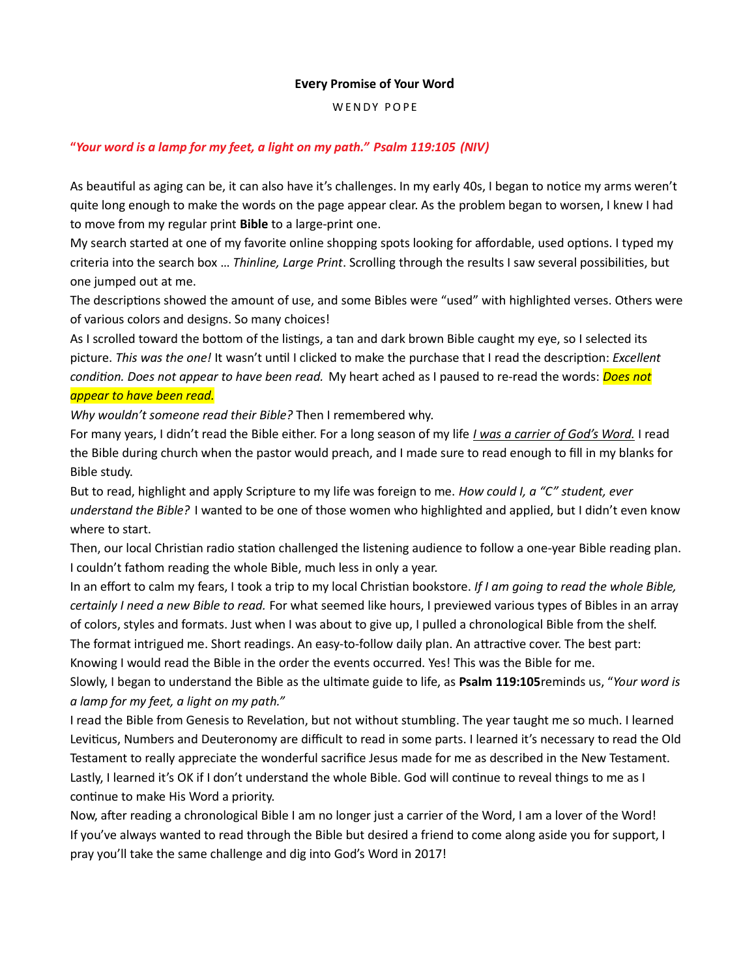## Every Promise of Your Word

WENDY POPE

## "Your word is a lamp for my feet, a light on my path." Psalm 119:105 (NIV)

As beautiful as aging can be, it can also have it's challenges. In my early 40s, I began to notice my arms weren't quite long enough to make the words on the page appear clear. As the problem began to worsen, I knew I had to move from my regular print Bible to a large-print one.

My search started at one of my favorite online shopping spots looking for affordable, used options. I typed my criteria into the search box ... Thinline, Large Print. Scrolling through the results I saw several possibilities, but one jumped out at me.

The descriptions showed the amount of use, and some Bibles were "used" with highlighted verses. Others were of various colors and designs. So many choices!

As I scrolled toward the bottom of the listings, a tan and dark brown Bible caught my eye, so I selected its picture. This was the one! It wasn't until I clicked to make the purchase that I read the description: *Excellent* condition. Does not appear to have been read. My heart ached as I paused to re-read the words: Does not appear to have been read.

Why wouldn't someone read their Bible? Then I remembered why.

For many years, I didn't read the Bible either. For a long season of my life *I was a carrier of God's Word*. I read the Bible during church when the pastor would preach, and I made sure to read enough to fill in my blanks for Bible study.

But to read, highlight and apply Scripture to my life was foreign to me. How could I, a "C" student, ever understand the Bible? I wanted to be one of those women who highlighted and applied, but I didn't even know where to start.

Then, our local Christian radio station challenged the listening audience to follow a one-year Bible reading plan. I couldn't fathom reading the whole Bible, much less in only a year.

In an effort to calm my fears, I took a trip to my local Christian bookstore. If I am going to read the whole Bible, certainly I need a new Bible to read. For what seemed like hours, I previewed various types of Bibles in an array of colors, styles and formats. Just when I was about to give up, I pulled a chronological Bible from the shelf.

The format intrigued me. Short readings. An easy-to-follow daily plan. An attractive cover. The best part: Knowing I would read the Bible in the order the events occurred. Yes! This was the Bible for me.

Slowly, I began to understand the Bible as the ultimate guide to life, as Psalm 119:105reminds us, "Your word is a lamp for my feet, a light on my path."

I read the Bible from Genesis to Revelation, but not without stumbling. The year taught me so much. I learned Leviticus, Numbers and Deuteronomy are difficult to read in some parts. I learned it's necessary to read the Old Testament to really appreciate the wonderful sacrifice Jesus made for me as described in the New Testament. Lastly, I learned it's OK if I don't understand the whole Bible. God will continue to reveal things to me as I continue to make His Word a priority.

Now, after reading a chronological Bible I am no longer just a carrier of the Word, I am a lover of the Word! If you've always wanted to read through the Bible but desired a friend to come along aside you for support, I pray you'll take the same challenge and dig into God's Word in 2017!